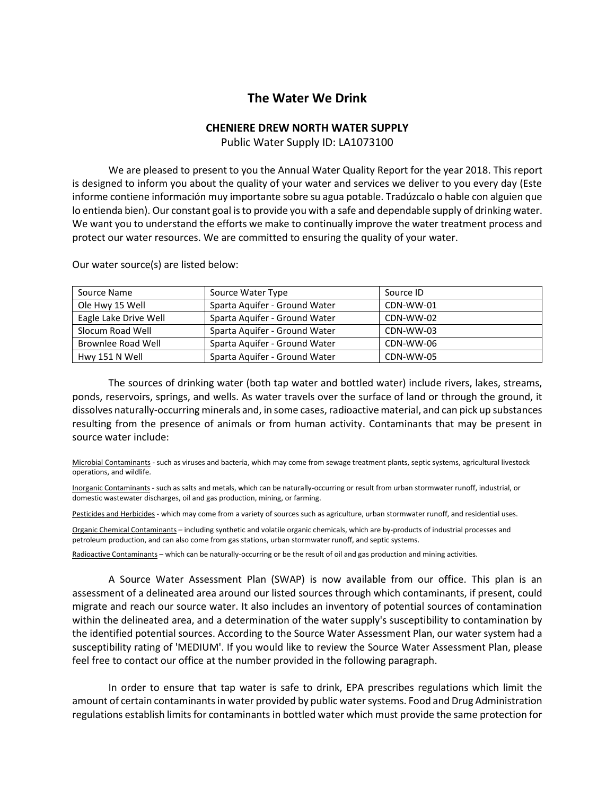## **The Water We Drink**

## **CHENIERE DREW NORTH WATER SUPPLY**

Public Water Supply ID: LA1073100

We are pleased to present to you the Annual Water Quality Report for the year 2018. This report is designed to inform you about the quality of your water and services we deliver to you every day (Este informe contiene información muy importante sobre su agua potable. Tradúzcalo o hable con alguien que lo entienda bien). Our constant goal is to provide you with a safe and dependable supply of drinking water. We want you to understand the efforts we make to continually improve the water treatment process and protect our water resources. We are committed to ensuring the quality of your water.

| Source Name           | Source Water Type             | Source ID |
|-----------------------|-------------------------------|-----------|
| Ole Hwy 15 Well       | Sparta Aquifer - Ground Water | CDN-WW-01 |
| Eagle Lake Drive Well | Sparta Aquifer - Ground Water | CDN-WW-02 |
| Slocum Road Well      | Sparta Aguifer - Ground Water | CDN-WW-03 |
| Brownlee Road Well    | Sparta Aquifer - Ground Water | CDN-WW-06 |
| Hwy 151 N Well        | Sparta Aguifer - Ground Water | CDN-WW-05 |

Our water source(s) are listed below:

The sources of drinking water (both tap water and bottled water) include rivers, lakes, streams, ponds, reservoirs, springs, and wells. As water travels over the surface of land or through the ground, it dissolves naturally-occurring minerals and, in some cases, radioactive material, and can pick up substances resulting from the presence of animals or from human activity. Contaminants that may be present in source water include:

Microbial Contaminants - such as viruses and bacteria, which may come from sewage treatment plants, septic systems, agricultural livestock operations, and wildlife.

Inorganic Contaminants - such as salts and metals, which can be naturally-occurring or result from urban stormwater runoff, industrial, or domestic wastewater discharges, oil and gas production, mining, or farming.

Pesticides and Herbicides - which may come from a variety of sources such as agriculture, urban stormwater runoff, and residential uses.

Organic Chemical Contaminants – including synthetic and volatile organic chemicals, which are by-products of industrial processes and petroleum production, and can also come from gas stations, urban stormwater runoff, and septic systems.

Radioactive Contaminants – which can be naturally-occurring or be the result of oil and gas production and mining activities.

A Source Water Assessment Plan (SWAP) is now available from our office. This plan is an assessment of a delineated area around our listed sources through which contaminants, if present, could migrate and reach our source water. It also includes an inventory of potential sources of contamination within the delineated area, and a determination of the water supply's susceptibility to contamination by the identified potential sources. According to the Source Water Assessment Plan, our water system had a susceptibility rating of 'MEDIUM'. If you would like to review the Source Water Assessment Plan, please feel free to contact our office at the number provided in the following paragraph.

In order to ensure that tap water is safe to drink, EPA prescribes regulations which limit the amount of certain contaminants in water provided by public water systems. Food and Drug Administration regulations establish limits for contaminants in bottled water which must provide the same protection for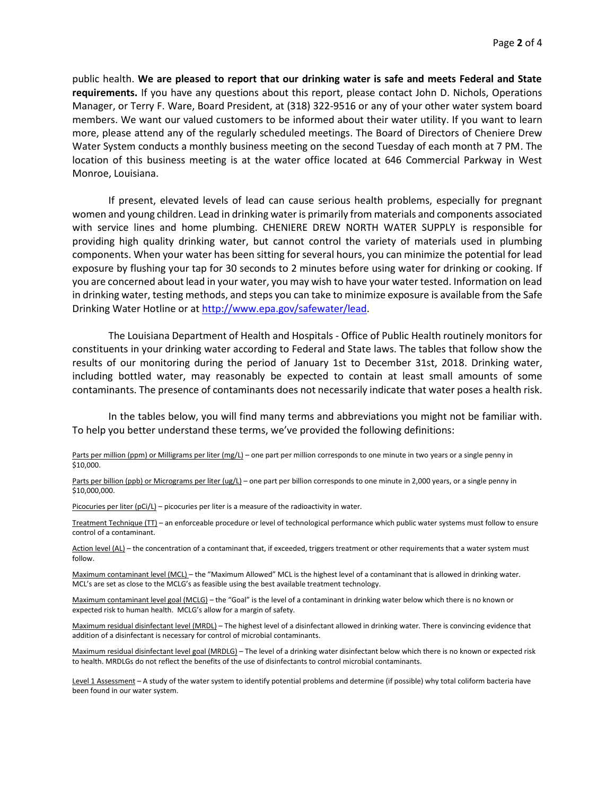public health. **We are pleased to report that our drinking water is safe and meets Federal and State requirements.** If you have any questions about this report, please contact John D. Nichols, Operations Manager, or Terry F. Ware, Board President, at (318) 322-9516 or any of your other water system board members. We want our valued customers to be informed about their water utility. If you want to learn more, please attend any of the regularly scheduled meetings. The Board of Directors of Cheniere Drew Water System conducts a monthly business meeting on the second Tuesday of each month at 7 PM. The location of this business meeting is at the water office located at 646 Commercial Parkway in West Monroe, Louisiana.

If present, elevated levels of lead can cause serious health problems, especially for pregnant women and young children. Lead in drinking water is primarily from materials and components associated with service lines and home plumbing. CHENIERE DREW NORTH WATER SUPPLY is responsible for providing high quality drinking water, but cannot control the variety of materials used in plumbing components. When your water has been sitting for several hours, you can minimize the potential for lead exposure by flushing your tap for 30 seconds to 2 minutes before using water for drinking or cooking. If you are concerned about lead in your water, you may wish to have your water tested. Information on lead in drinking water, testing methods, and steps you can take to minimize exposure is available from the Safe Drinking Water Hotline or at [http://www.epa.gov/safewater/lead.](http://www.epa.gov/safewater/lead)

The Louisiana Department of Health and Hospitals - Office of Public Health routinely monitors for constituents in your drinking water according to Federal and State laws. The tables that follow show the results of our monitoring during the period of January 1st to December 31st, 2018. Drinking water, including bottled water, may reasonably be expected to contain at least small amounts of some contaminants. The presence of contaminants does not necessarily indicate that water poses a health risk.

In the tables below, you will find many terms and abbreviations you might not be familiar with. To help you better understand these terms, we've provided the following definitions:

Parts per million (ppm) or Milligrams per liter (mg/L) – one part per million corresponds to one minute in two years or a single penny in \$10,000.

Parts per billion (ppb) or Micrograms per liter (ug/L) – one part per billion corresponds to one minute in 2,000 years, or a single penny in \$10,000,000.

Picocuries per liter (pCi/L) – picocuries per liter is a measure of the radioactivity in water.

Treatment Technique (TT) – an enforceable procedure or level of technological performance which public water systems must follow to ensure control of a contaminant.

Action level (AL) – the concentration of a contaminant that, if exceeded, triggers treatment or other requirements that a water system must follow.

Maximum contaminant level (MCL) – the "Maximum Allowed" MCL is the highest level of a contaminant that is allowed in drinking water. MCL's are set as close to the MCLG's as feasible using the best available treatment technology.

Maximum contaminant level goal (MCLG) – the "Goal" is the level of a contaminant in drinking water below which there is no known or expected risk to human health. MCLG's allow for a margin of safety.

Maximum residual disinfectant level (MRDL) – The highest level of a disinfectant allowed in drinking water. There is convincing evidence that addition of a disinfectant is necessary for control of microbial contaminants.

Maximum residual disinfectant level goal (MRDLG) – The level of a drinking water disinfectant below which there is no known or expected risk to health. MRDLGs do not reflect the benefits of the use of disinfectants to control microbial contaminants.

Level 1 Assessment - A study of the water system to identify potential problems and determine (if possible) why total coliform bacteria have been found in our water system.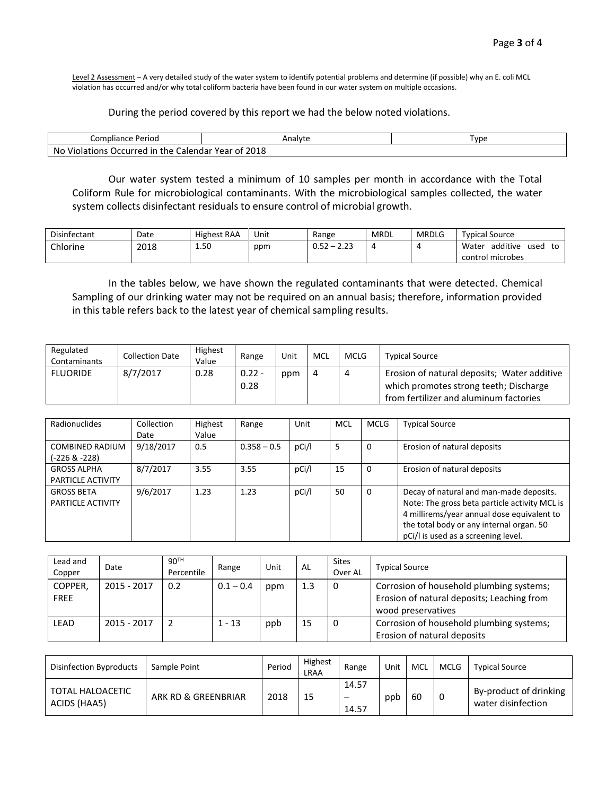Level 2 Assessment - A very detailed study of the water system to identify potential problems and determine (if possible) why an E. coli MCL violation has occurred and/or why total coliform bacteria have been found in our water system on multiple occasions.

## During the period covered by this report we had the below noted violations.

| Compliance Period                                             | Analyte | I vpe |
|---------------------------------------------------------------|---------|-------|
| No<br>Violations<br>Occurred<br>the<br>Calendar Year of<br>ın |         |       |

Our water system tested a minimum of 10 samples per month in accordance with the Total Coliform Rule for microbiological contaminants. With the microbiological samples collected, the water system collects disinfectant residuals to ensure control of microbial growth.

| Disinfectant | Date | <b>Highest RAA</b> | Unit | Range                           | <b>MRDL</b> | <b>MRDLG</b> | <b>Typical Source</b>           |
|--------------|------|--------------------|------|---------------------------------|-------------|--------------|---------------------------------|
| Chlorine     | 2018 | 1.50<br>__         | ppm  | $\sim$ $\sim$<br>-<br>◡.◡∠<br>. |             |              | additive<br>Water<br>used<br>to |
|              |      |                    |      |                                 |             |              | control microbes                |

In the tables below, we have shown the regulated contaminants that were detected. Chemical Sampling of our drinking water may not be required on an annual basis; therefore, information provided in this table refers back to the latest year of chemical sampling results.

| Regulated<br>Contaminants | <b>Collection Date</b> | <b>Highest</b><br>Value | Range            | Unit | MCL | <b>MCLG</b> | <b>Typical Source</b>                                                                                                           |
|---------------------------|------------------------|-------------------------|------------------|------|-----|-------------|---------------------------------------------------------------------------------------------------------------------------------|
| <b>FLUORIDE</b>           | 8/7/2017               | 0.28                    | $0.22 -$<br>0.28 | ppm  | -4  |             | Erosion of natural deposits; Water additive<br>which promotes strong teeth; Discharge<br>from fertilizer and aluminum factories |

| Radionuclides                           | Collection<br>Date | Highest<br>Value | Range         | Unit  | <b>MCL</b> | <b>MCLG</b> | <b>Typical Source</b>                                                                                                                                                                                                     |
|-----------------------------------------|--------------------|------------------|---------------|-------|------------|-------------|---------------------------------------------------------------------------------------------------------------------------------------------------------------------------------------------------------------------------|
| <b>COMBINED RADIUM</b><br>(-226 & -228) | 9/18/2017          | 0.5              | $0.358 - 0.5$ | pCi/l | 5          | 0           | Erosion of natural deposits                                                                                                                                                                                               |
| <b>GROSS ALPHA</b><br>PARTICLE ACTIVITY | 8/7/2017           | 3.55             | 3.55          | pCi/l | 15         | 0           | Erosion of natural deposits                                                                                                                                                                                               |
| <b>GROSS BETA</b><br>PARTICLE ACTIVITY  | 9/6/2017           | 1.23             | 1.23          | pCi/l | 50         | 0           | Decay of natural and man-made deposits.<br>Note: The gross beta particle activity MCL is<br>4 millirems/year annual dose equivalent to<br>the total body or any internal organ. 50<br>pCi/l is used as a screening level. |

| Lead and<br>Copper     | Date        | 90 <sup>TH</sup><br>Percentile | Range       | Unit | AL  | <b>Sites</b><br>Over AL | <b>Typical Source</b>                                                                                        |
|------------------------|-------------|--------------------------------|-------------|------|-----|-------------------------|--------------------------------------------------------------------------------------------------------------|
| COPPER,<br><b>FREE</b> | 2015 - 2017 | 0.2                            | $0.1 - 0.4$ | ppm  | 1.3 | 0                       | Corrosion of household plumbing systems;<br>Erosion of natural deposits; Leaching from<br>wood preservatives |
| <b>LEAD</b>            | 2015 - 2017 |                                | $1 - 13$    | ppb  | 15  | 0                       | Corrosion of household plumbing systems;<br>Erosion of natural deposits                                      |

| Disinfection Byproducts                 | Sample Point        | Period | Highest<br>LRAA | Range | Unit | MCL | MCLG | <b>Typical Source</b>  |
|-----------------------------------------|---------------------|--------|-----------------|-------|------|-----|------|------------------------|
| <b>TOTAL HALOACETIC</b><br>ACIDS (HAA5) | ARK RD & GREENBRIAR | 2018   | 15              | 14.57 | ppb  | 60  | - 0  | By-product of drinking |
|                                         |                     |        |                 | 14.57 |      |     |      | water disinfection     |